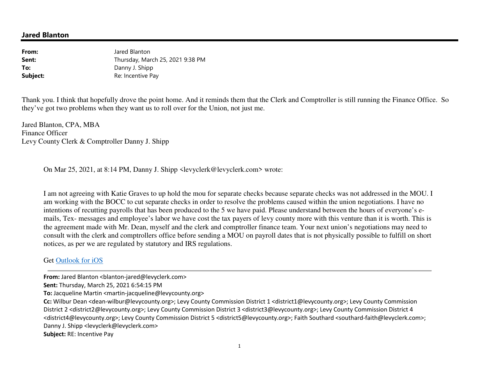## **Jared Blanton**

| From:    | Jared Blanton                    |
|----------|----------------------------------|
| Sent:    | Thursday, March 25, 2021 9:38 PM |
| To:      | Danny J. Shipp                   |
| Subject: | Re: Incentive Pay                |

Thank you. I think that hopefully drove the point home. And it reminds them that the Clerk and Comptroller is still running the Finance Office. So they've got two problems when they want us to roll over for the Union, not just me.

Jared Blanton, CPA, MBA Finance Officer Levy County Clerk & Comptroller Danny J. Shipp

On Mar 25, 2021, at 8:14 PM, Danny J. Shipp <levyclerk@levyclerk.com> wrote:

I am not agreeing with Katie Graves to up hold the mou for separate checks because separate checks was not addressed in the MOU. I am working with the BOCC to cut separate checks in order to resolve the problems caused within the union negotiations. I have no intentions of recutting payrolls that has been produced to the 5 we have paid. Please understand between the hours of everyone's emails, Tex- messages and employee's labor we have cost the tax payers of levy county more with this venture than it is worth. This is the agreement made with Mr. Dean, myself and the clerk and comptroller finance team. Your next union's negotiations may need to consult with the clerk and comptrollers office before sending a MOU on payroll dates that is not physically possible to fulfill on short notices, as per we are regulated by statutory and IRS regulations.

## Get Outlook for iOS

**From:** Jared Blanton <blanton-jared@levyclerk.com>

**Sent:** Thursday, March 25, 2021 6:54:15 PM

**To:** Jacqueline Martin <martin-jacqueline@levycounty.org>

**Cc:** Wilbur Dean <dean-wilbur@levycounty.org>; Levy County Commission District 1 <district1@levycounty.org>; Levy County Commission District 2 <district2@levycounty.org>; Levy County Commission District 3 <district3@levycounty.org>; Levy County Commission District 4 <district4@levycounty.org>; Levy County Commission District 5 <district5@levycounty.org>; Faith Southard <southard-faith@levyclerk.com>; Danny J. Shipp <levyclerk@levyclerk.com>

**Subject:** RE: Incentive Pay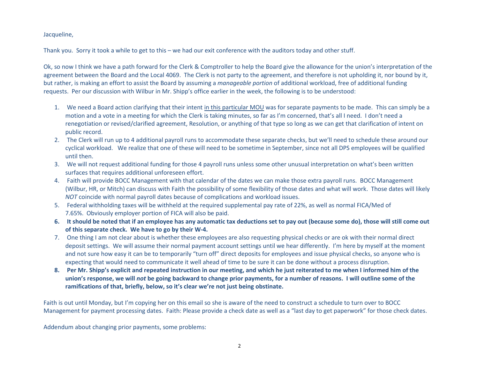Jacqueline,

Thank you. Sorry it took a while to get to this – we had our exit conference with the auditors today and other stuff.

Ok, so now I think we have a path forward for the Clerk & Comptroller to help the Board give the allowance for the union's interpretation of the agreement between the Board and the Local 4069. The Clerk is not party to the agreement, and therefore is not upholding it, nor bound by it, but rather, is making an effort to assist the Board by assuming a *manageable portion* of additional workload, free of additional fundingrequests. Per our discussion with Wilbur in Mr. Shipp's office earlier in the week, the following is to be understood:

- 1. We need a Board action clarifying that their intent <u>in this particular MOU</u> was for separate payments to be made. This can simply be a motion and a vote in a meeting for which the Clerk is taking minutes, so far as I'm concerned, that's all I need. I don't need a renegotiation or revised/clarified agreement, Resolution, or anything of that type so long as we can get that clarification of intent on public record.
- 2. The Clerk will run up to 4 additional payroll runs to accommodate these separate checks, but we'll need to schedule these around our cyclical workload. We realize that one of these will need to be sometime in September, since not all DPS employees will be qualified until then.
- 3. We will not request additional funding for those 4 payroll runs unless some other unusual interpretation on what's been written surfaces that requires additional unforeseen effort.
- 4. Faith will provide BOCC Management with that calendar of the dates we can make those extra payroll runs. BOCC Management (Wilbur, HR, or Mitch) can discuss with Faith the possibility of some flexibility of those dates and what will work. Those dates will likely *NOT* coincide with normal payroll dates because of complications and workload issues.
- 5. Federal withholding taxes will be withheld at the required supplemental pay rate of 22%, as well as normal FICA/Med of 7.65%. Obviously employer portion of FICA will also be paid.
- **6. It should be noted that if an employee has any automatic tax deductions set to pay out (because some do), those will still come out of this separate check. We have to go by their W-4.**
- 7. One thing I am not clear about is whether these employees are also requesting physical checks or are ok with their normal direct deposit settings. We will assume their normal payment account settings until we hear differently. I'm here by myself at the moment and not sure how easy it can be to temporarily "turn off" direct deposits for employees and issue physical checks, so anyone who is expecting that would need to communicate it well ahead of time to be sure it can be done without a process disruption.
- **8. Per Mr. Shipp's explicit and repeated instruction in our meeting, and which he just reiterated to me when I informed him of the union's response, we will** *not* **be going backward to change prior payments, for a number of reasons. I will outline some of the ramifications of that, briefly, below, so it's clear we're not just being obstinate.**

Faith is out until Monday, but I'm copying her on this email so she is aware of the need to construct a schedule to turn over to BOCC Management for payment processing dates. Faith: Please provide a check date as well as a "last day to get paperwork" for those check dates.

Addendum about changing prior payments, some problems: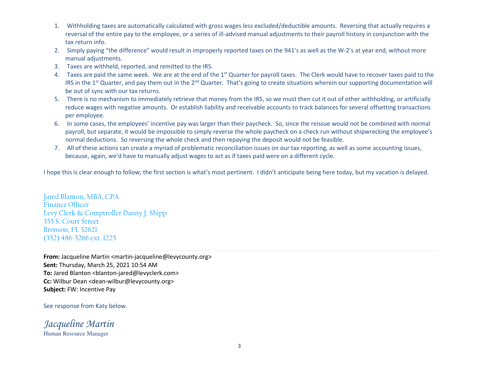- 1. Withholding taxes are automatically calculated with gross wages less excluded/deductible amounts. Reversing that actually requires a reversal of the entire pay to the employee, or a series of ill-advised manual adjustments to their payroll history in conjunction with the tax return info.
- 2. Simply paying "the difference" would result in improperly reported taxes on the 941's as well as the W-2's at year end, without more manual adjustments.
- 3. Taxes are withheld, reported, and remitted to the IRS.
- 4. Taxes are paid the same week. We are at the end of the 1<sup>st</sup> Quarter for payroll taxes. The Clerk would have to recover taxes paid to the IRS in the 1<sup>st</sup> Quarter, and pay them out in the 2<sup>nd</sup> Quarter. That's going to create situations wherein our supporting documentation will be out of sync with our tax returns.
- 5. There is no mechanism to immediately retrieve that money from the IRS, so we must then cut it out of other withholding, or artificially reduce wages with negative amounts. Or establish liability and receivable accounts to track balances for several offsetting transactions per employee.
- 6. In some cases, the employees' incentive pay was larger than their paycheck. So, since the reissue would not be combined with normal payroll, but separate, it would be impossible to simply reverse the whole paycheck on a check run without shipwrecking the employee's normal deductions. So reversing the whole check and then repaying the deposit would not be feasible.
- 7. All of these actions can create a myriad of problematic reconciliation issues on our tax reporting, as well as some accounting issues, because, again, we'd have to manually adjust wages to act as if taxes paid were on a different cycle.

I hope this is clear enough to follow; the first section is what's most pertinent. I didn't anticipate being here today, but my vacation is delayed.

Jared Blanton, MBA, CPAFinance Officer Levy Clerk & Comptroller Danny J. Shipp355 S. Court Street Bronson, FL 32621(352) 486-5266 ext. 1225

**From:** Jacqueline Martin <martin-jacqueline@levycounty.org> **Sent:** Thursday, March 25, 2021 10:54 AM To: Jared Blanton <br />blanton-jared@levyclerk.com> **Cc:** Wilbur Dean <dean-wilbur@levycounty.org> **Subject:** FW: Incentive Pay

See response from Katy below.

*Jacqueline Martin*Human Resource Manager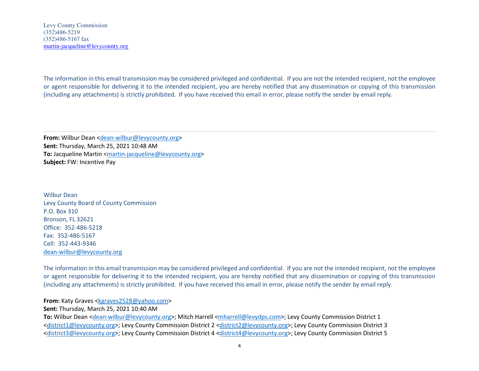The information in this email transmission may be considered privileged and confidential. If you are not the intended recipient, not the employee or agent responsible for delivering it to the intended recipient, you are hereby notified that any dissemination or copying of this transmission (including any attachments) is strictly prohibited. If you have received this email in error, please notify the sender by email reply.

**From:** Wilbur Dean <dean-wilbur@levycounty.org> **Sent:** Thursday, March 25, 2021 10:48 AM **To:** Jacqueline Martin <martin-jacqueline@levycounty.org> **Subject:** FW: Incentive Pay

Wilbur Dean Levy County Board of County CommissionP.O. Box 310 Bronson, FL 32621 Office: 352-486-5218Fax: 352-486-5167 Cell: 352-443-9346dean-wilbur@levycounty.org

The information in this email transmission may be considered privileged and confidential. If you are not the intended recipient, not the employee or agent responsible for delivering it to the intended recipient, you are hereby notified that any dissemination or copying of this transmission (including any attachments) is strictly prohibited. If you have received this email in error, please notify the sender by email reply.

## **From:** Katy Graves <kgraves2528@yahoo.com>

**Sent:** Thursday, March 25, 2021 10:40 AM

**To:** Wilbur Dean <dean-wilbur@levycounty.org>; Mitch Harrell <mharrell@levydps.com>; Levy County Commission District 1 <district1@levycounty.org>; Levy County Commission District 2 <district2@levycounty.org>; Levy County Commission District 3 <district3@levycounty.org>; Levy County Commission District 4 <district4@levycounty.org>; Levy County Commission District 5